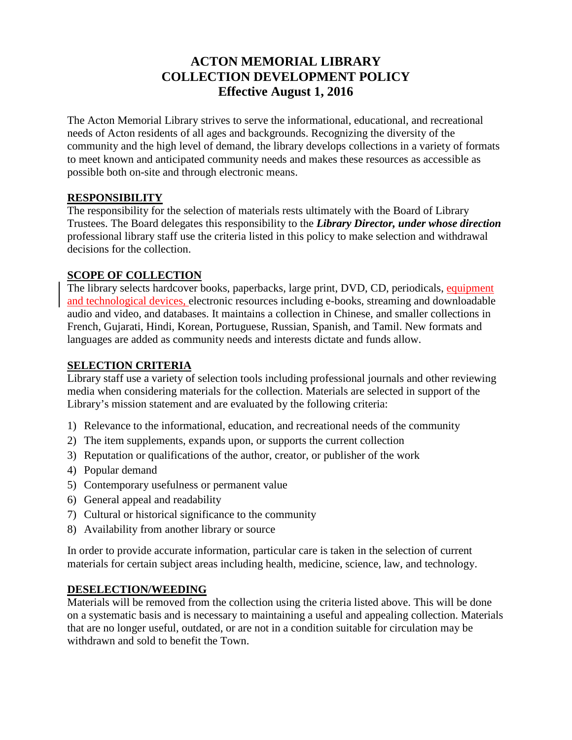## **ACTON MEMORIAL LIBRARY COLLECTION DEVELOPMENT POLICY Effective August 1, 2016**

The Acton Memorial Library strives to serve the informational, educational, and recreational needs of Acton residents of all ages and backgrounds. Recognizing the diversity of the community and the high level of demand, the library develops collections in a variety of formats to meet known and anticipated community needs and makes these resources as accessible as possible both on-site and through electronic means.

#### **RESPONSIBILITY**

The responsibility for the selection of materials rests ultimately with the Board of Library Trustees. The Board delegates this responsibility to the *Library Director, under whose direction* professional library staff use the criteria listed in this policy to make selection and withdrawal decisions for the collection.

### **SCOPE OF COLLECTION**

The library selects hardcover books, paperbacks, large print, DVD, CD, periodicals, equipment and technological devices, electronic resources including e-books, streaming and downloadable audio and video, and databases. It maintains a collection in Chinese, and smaller collections in French, Gujarati, Hindi, Korean, Portuguese, Russian, Spanish, and Tamil. New formats and languages are added as community needs and interests dictate and funds allow.

## **SELECTION CRITERIA**

Library staff use a variety of selection tools including professional journals and other reviewing media when considering materials for the collection. Materials are selected in support of the Library's mission statement and are evaluated by the following criteria:

- 1) Relevance to the informational, education, and recreational needs of the community
- 2) The item supplements, expands upon, or supports the current collection
- 3) Reputation or qualifications of the author, creator, or publisher of the work
- 4) Popular demand
- 5) Contemporary usefulness or permanent value
- 6) General appeal and readability
- 7) Cultural or historical significance to the community
- 8) Availability from another library or source

In order to provide accurate information, particular care is taken in the selection of current materials for certain subject areas including health, medicine, science, law, and technology.

### **DESELECTION/WEEDING**

Materials will be removed from the collection using the criteria listed above. This will be done on a systematic basis and is necessary to maintaining a useful and appealing collection. Materials that are no longer useful, outdated, or are not in a condition suitable for circulation may be withdrawn and sold to benefit the Town.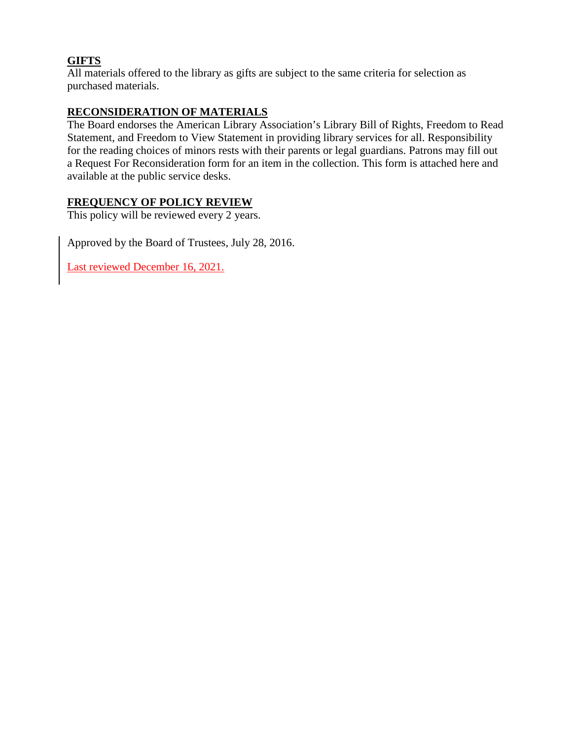#### **GIFTS**

All materials offered to the library as gifts are subject to the same criteria for selection as purchased materials.

#### **RECONSIDERATION OF MATERIALS**

The Board endorses the American Library Association's Library Bill of Rights, Freedom to Read Statement, and Freedom to View Statement in providing library services for all. Responsibility for the reading choices of minors rests with their parents or legal guardians. Patrons may fill out a Request For Reconsideration form for an item in the collection. This form is attached here and available at the public service desks.

#### **FREQUENCY OF POLICY REVIEW**

This policy will be reviewed every 2 years.

Approved by the Board of Trustees, July 28, 2016.

Last reviewed December 16, 2021.